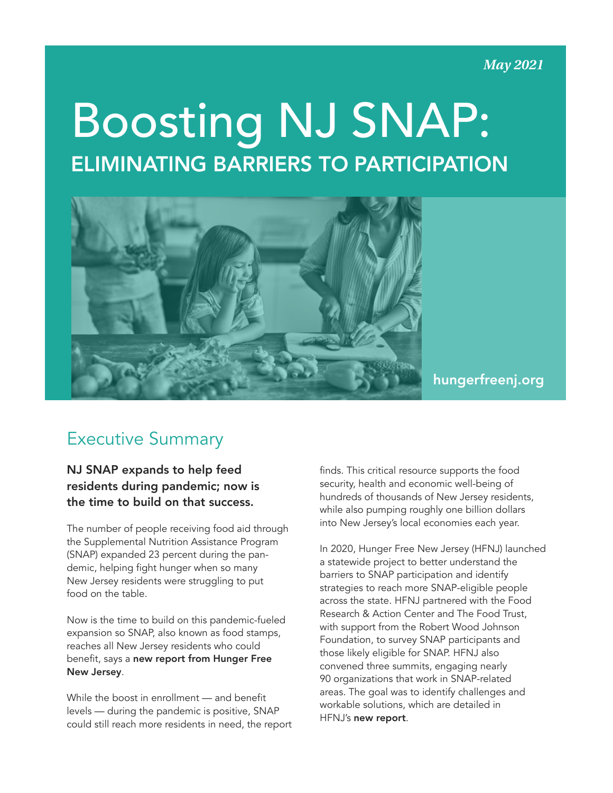#### **May 2021**

# Boosting NJ SNAP: ELIMINATING BARRIERS TO PARTICIPATION



### [hungerfreenj.org](https://hungerfreenj.org)

## Executive Summary

#### NJ SNAP expands to help feed residents during pandemic; now is the time to build on that success.

The number of people receiving food aid through the Supplemental Nutrition Assistance Program (SNAP) expanded 23 percent during the pandemic, helping fight hunger when so many New Jersey residents were struggling to put food on the table.

Now is the time to build on this pandemic-fueled expansion so SNAP, also known as food stamps, reaches all New Jersey residents who could benefit, says a [new report from Hunger Free](https://hungerfreenj.org/wp-content/uploads/2021/05/HFNJ_SNAPRpt_May2021.pdf)  [New Jersey](https://hungerfreenj.org/wp-content/uploads/2021/05/HFNJ_SNAPRpt_May2021.pdf).

While the boost in enrollment — and benefit levels — during the pandemic is positive, SNAP could still reach more residents in need, the report

finds. This critical resource supports the food security, health and economic well-being of hundreds of thousands of New Jersey residents, while also pumping roughly one billion dollars into New Jersey's local economies each year.

In 2020, Hunger Free New Jersey (HFNJ) launched a statewide project to better understand the barriers to SNAP participation and identify strategies to reach more SNAP-eligible people across the state. HFNJ partnered with the Food Research & Action Center and The Food Trust, with support from the Robert Wood Johnson Foundation, to survey SNAP participants and those likely eligible for SNAP. HFNJ also convened three summits, engaging nearly 90 organizations that work in SNAP-related areas. The goal was to identify challenges and workable solutions, which are detailed in HFNJ's [new report](https://hungerfreenj.org/wp-content/uploads/2021/05/HFNJ_SNAPRpt_May2021.pdf).